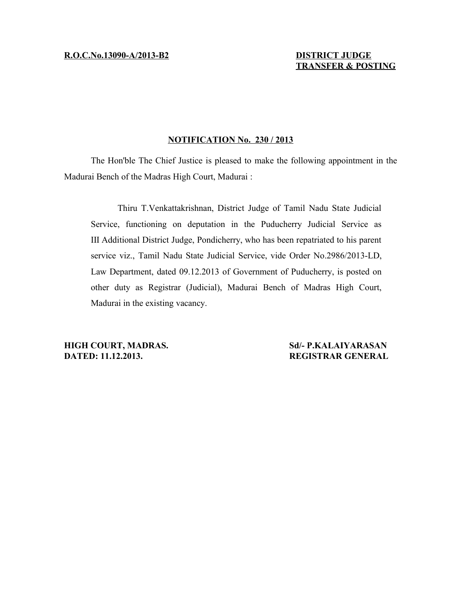# **TRANSFER & POSTING**

## **NOTIFICATION No. 230 / 2013**

The Hon'ble The Chief Justice is pleased to make the following appointment in the Madurai Bench of the Madras High Court, Madurai :

Thiru T.Venkattakrishnan, District Judge of Tamil Nadu State Judicial Service, functioning on deputation in the Puducherry Judicial Service as III Additional District Judge, Pondicherry, who has been repatriated to his parent service viz., Tamil Nadu State Judicial Service, vide Order No.2986/2013-LD, Law Department, dated 09.12.2013 of Government of Puducherry, is posted on other duty as Registrar (Judicial), Madurai Bench of Madras High Court, Madurai in the existing vacancy.

**HIGH COURT, MADRAS.** Sd/- P.KALAIYARASAN **DATED: 11.12.2013. REGISTRAR GENERAL**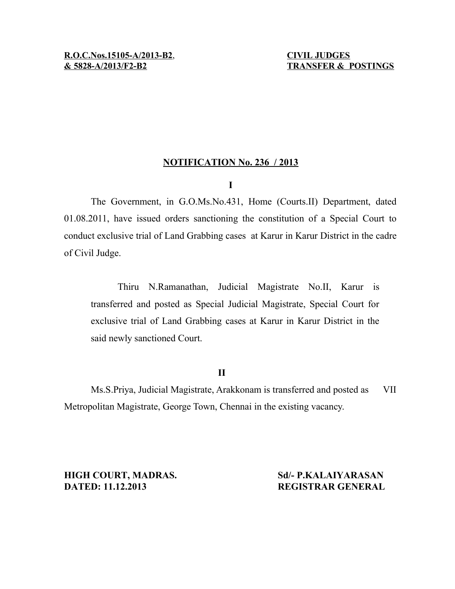# **NOTIFICATION No. 236 / 2013**

# **I**

The Government, in G.O.Ms.No.431, Home (Courts.II) Department, dated 01.08.2011, have issued orders sanctioning the constitution of a Special Court to conduct exclusive trial of Land Grabbing cases at Karur in Karur District in the cadre of Civil Judge.

Thiru N.Ramanathan, Judicial Magistrate No.II, Karur is transferred and posted as Special Judicial Magistrate, Special Court for exclusive trial of Land Grabbing cases at Karur in Karur District in the said newly sanctioned Court.

# **II**

Ms.S.Priya, Judicial Magistrate, Arakkonam is transferred and posted as VII Metropolitan Magistrate, George Town, Chennai in the existing vacancy.

**HIGH COURT, MADRAS.** Sd/- P.KALAIYARASAN **DATED: 11.12.2013 REGISTRAR GENERAL**